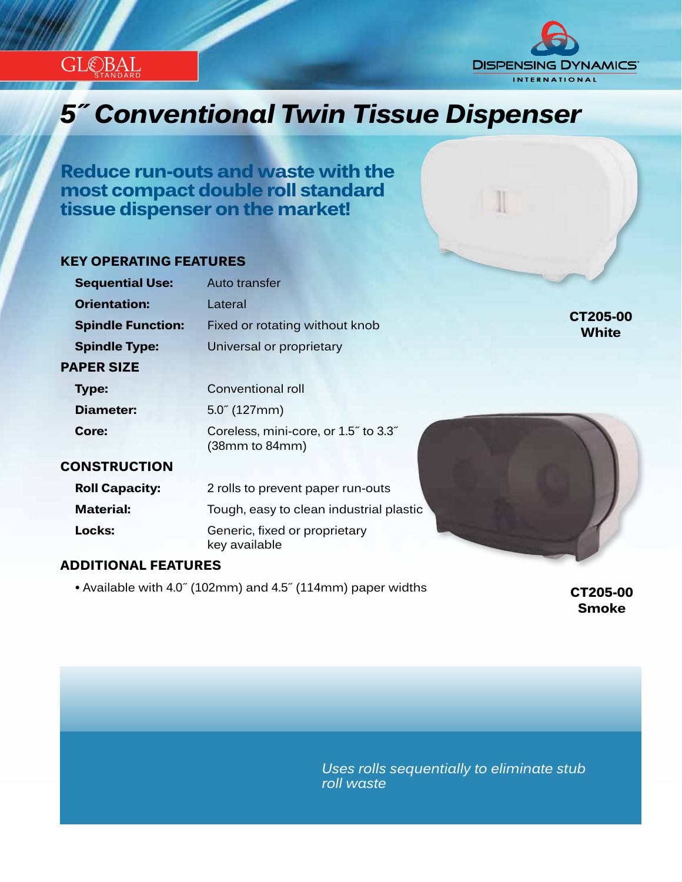

# **DISPENSING DYNAMICS® INTERNATIONAL**

## *Innovation...Design...Solutions 5˝ Conventional Twin Tissue Dispenser*

**Reduce run-outs and waste with the most compact double roll standard tissue dispenser on the market!**

#### **KEY OPERATING FEATURES**

| <b>Sequential Use:</b>   | Auto transfer                                                                   |
|--------------------------|---------------------------------------------------------------------------------|
| <b>Orientation:</b>      | Lateral                                                                         |
| <b>Spindle Function:</b> | CT205-00<br>Fixed or rotating without knob<br><b>White</b>                      |
| <b>Spindle Type:</b>     | Universal or proprietary                                                        |
| <b>PAPER SIZE</b>        |                                                                                 |
| Type:                    | Conventional roll                                                               |
| Diameter:                | $5.0^{''}$ (127mm)                                                              |
| Core:                    | Coreless, mini-core, or 1.5" to 3.3"<br>(38 <sub>mm</sub> to 84 <sub>mm</sub> ) |
| <b>CONSTRUCTION</b>      |                                                                                 |
| <b>Roll Capacity:</b>    | 2 rolls to prevent paper run-outs                                               |
| <b>Material:</b>         | Tough, easy to clean industrial plastic                                         |
| Locks:                   | Generic, fixed or proprietary<br>key available                                  |
|                          |                                                                                 |

#### **ADDITIONAL FEATURES**

 **•** Available with 4.0˝ (102mm) and 4.5˝ (114mm) paper widths **CT205-00**

**Smoke**

*Uses rolls sequentially to eliminate stub roll waste*